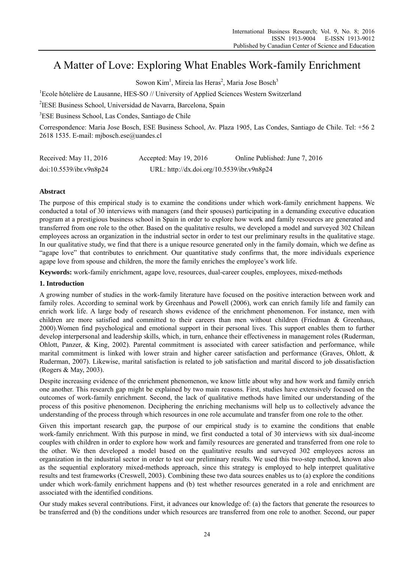# A Matter of Love: Exploring What Enables Work-family Enrichment

Sowon Kim<sup>1</sup>, Mireia las Heras<sup>2</sup>, Maria Jose Bosch<sup>3</sup>

<sup>1</sup>Ecole hôtelière de Lausanne, HES-SO // University of Applied Sciences Western Switzerland

2 IESE Business School, Universidad de Navarra, Barcelona, Spain

3 ESE Business School, Las Condes, Santiago de Chile

Correspondence: Maria Jose Bosch, ESE Business School, Av. Plaza 1905, Las Condes, Santiago de Chile. Tel: +56 2 2618 1535. E-mail: mjbosch.ese@uandes.cl

| Received: May 11, 2016  | Accepted: May $19, 2016$                   | Online Published: June 7, 2016 |
|-------------------------|--------------------------------------------|--------------------------------|
| doi:10.5539/ibr.v9n8p24 | URL: http://dx.doi.org/10.5539/ibr.v9n8p24 |                                |

# **Abstract**

The purpose of this empirical study is to examine the conditions under which work-family enrichment happens. We conducted a total of 30 interviews with managers (and their spouses) participating in a demanding executive education program at a prestigious business school in Spain in order to explore how work and family resources are generated and transferred from one role to the other. Based on the qualitative results, we developed a model and surveyed 302 Chilean employees across an organization in the industrial sector in order to test our preliminary results in the qualitative stage. In our qualitative study, we find that there is a unique resource generated only in the family domain, which we define as "agape love" that contributes to enrichment. Our quantitative study confirms that, the more individuals experience agape love from spouse and children, the more the family enriches the employee's work life.

**Keywords:** work-family enrichment, agape love, resources, dual-career couples, employees, mixed-methods

# **1. Introduction**

A growing number of studies in the work-family literature have focused on the positive interaction between work and family roles. According to seminal work by Greenhaus and Powell (2006), work can enrich family life and family can enrich work life. A large body of research shows evidence of the enrichment phenomenon. For instance, men with children are more satisfied and committed to their careers than men without children (Friedman & Greenhaus, 2000).Women find psychological and emotional support in their personal lives. This support enables them to further develop interpersonal and leadership skills, which, in turn, enhance their effectiveness in management roles (Ruderman, Ohlott, Panzer, & King, 2002). Parental commitment is associated with career satisfaction and performance, while marital commitment is linked with lower strain and higher career satisfaction and performance (Graves, Ohlott, & Ruderman, 2007). Likewise, marital satisfaction is related to job satisfaction and marital discord to job dissatisfaction (Rogers & May, 2003).

Despite increasing evidence of the enrichment phenomenon, we know little about why and how work and family enrich one another. This research gap might be explained by two main reasons. First, studies have extensively focused on the outcomes of work-family enrichment. Second, the lack of qualitative methods have limited our understanding of the process of this positive phenomenon. Deciphering the enriching mechanisms will help us to collectively advance the understanding of the process through which resources in one role accumulate and transfer from one role to the other.

Given this important research gap, the purpose of our empirical study is to examine the conditions that enable work-family enrichment. With this purpose in mind, we first conducted a total of 30 interviews with six dual-income couples with children in order to explore how work and family resources are generated and transferred from one role to the other. We then developed a model based on the qualitative results and surveyed 302 employees across an organization in the industrial sector in order to test our preliminary results. We used this two-step method, known also as the sequential exploratory mixed-methods approach, since this strategy is employed to help interpret qualitative results and test frameworks (Creswell, 2003). Combining these two data sources enables us to (a) explore the conditions under which work-family enrichment happens and (b) test whether resources generated in a role and enrichment are associated with the identified conditions.

Our study makes several contributions. First, it advances our knowledge of: (a) the factors that generate the resources to be transferred and (b) the conditions under which resources are transferred from one role to another. Second, our paper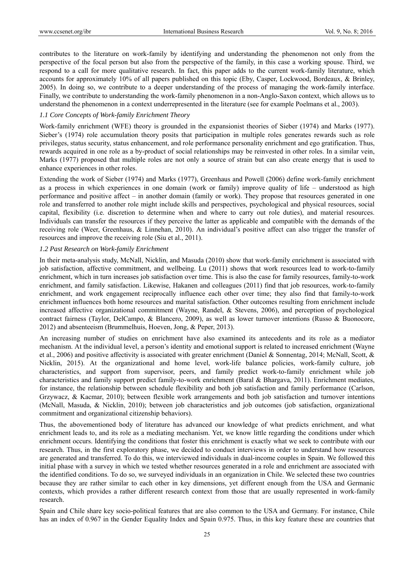contributes to the literature on work-family by identifying and understanding the phenomenon not only from the perspective of the focal person but also from the perspective of the family, in this case a working spouse. Third, we respond to a call for more qualitative research. In fact, this paper adds to the current work-family literature, which accounts for approximately 10% of all papers published on this topic (Eby, Casper, Lockwood, Bordeaux, & Brinley, 2005). In doing so, we contribute to a deeper understanding of the process of managing the work-family interface. Finally, we contribute to understanding the work-family phenomenon in a non-Anglo-Saxon context, which allows us to understand the phenomenon in a context underrepresented in the literature (see for example Poelmans et al., 2003).

#### *1.1 Core Concepts of Work-family Enrichment Theory*

Work-family enrichment (WFE) theory is grounded in the expansionist theories of Sieber (1974) and Marks (1977). Sieber's (1974) role accumulation theory posits that participation in multiple roles generates rewards such as role privileges, status security, status enhancement, and role performance personality enrichment and ego gratification. Thus, rewards acquired in one role as a by-product of social relationships may be reinvested in other roles. In a similar vein, Marks (1977) proposed that multiple roles are not only a source of strain but can also create energy that is used to enhance experiences in other roles.

Extending the work of Sieber (1974) and Marks (1977), Greenhaus and Powell (2006) define work-family enrichment as a process in which experiences in one domain (work or family) improve quality of life – understood as high performance and positive affect – in another domain (family or work). They propose that resources generated in one role and transferred to another role might include skills and perspectives, psychological and physical resources, social capital, flexibility (i.e. discretion to determine when and where to carry out role duties), and material resources. Individuals can transfer the resources if they perceive the latter as applicable and compatible with the demands of the receiving role (Weer, Greenhaus, & Linnehan, 2010). An individual's positive affect can also trigger the transfer of resources and improve the receiving role (Siu et al., 2011).

#### *1.2 Past Research on Work-family Enrichment*

In their meta-analysis study, McNall, Nicklin, and Masuda (2010) show that work-family enrichment is associated with job satisfaction, affective commitment, and wellbeing. Lu (2011) shows that work resources lead to work-to-family enrichment, which in turn increases job satisfaction over time. This is also the case for family resources, family-to-work enrichment, and family satisfaction. Likewise, Hakanen and colleagues (2011) find that job resources, work-to-family enrichment, and work engagement reciprocally influence each other over time; they also find that family-to-work enrichment influences both home resources and marital satisfaction. Other outcomes resulting from enrichment include increased affective organizational commitment (Wayne, Randel, & Stevens, 2006), and perception of psychological contract fairness (Taylor, DelCampo, & Blancero, 2009), as well as lower turnover intentions (Russo & Buonocore, 2012) and absenteeism (Brummelhuis, Hoeven, Jong, & Peper, 2013).

An increasing number of studies on enrichment have also examined its antecedents and its role as a mediator mechanism. At the individual level, a person's identity and emotional support is related to increased enrichment (Wayne et al., 2006) and positive affectivity is associated with greater enrichment (Daniel & Sonnentag, 2014; McNall, Scott, & Nicklin, 2015). At the organizational and home level, work-life balance policies, work-family culture, job characteristics, and support from supervisor, peers, and family predict work-to-family enrichment while job characteristics and family support predict family-to-work enrichment (Baral & Bhargava, 2011). Enrichment mediates, for instance, the relationship between schedule flexibility and both job satisfaction and family performance (Carlson, Grzywacz, & Kacmar, 2010); between flexible work arrangements and both job satisfaction and turnover intentions (McNall, Masuda, & Nicklin, 2010); between job characteristics and job outcomes (job satisfaction, organizational commitment and organizational citizenship behaviors).

Thus, the abovementioned body of literature has advanced our knowledge of what predicts enrichment, and what enrichment leads to, and its role as a mediating mechanism. Yet, we know little regarding the conditions under which enrichment occurs. Identifying the conditions that foster this enrichment is exactly what we seek to contribute with our research. Thus, in the first exploratory phase, we decided to conduct interviews in order to understand how resources are generated and transferred. To do this, we interviewed individuals in dual-income couples in Spain. We followed this initial phase with a survey in which we tested whether resources generated in a role and enrichment are associated with the identified conditions. To do so, we surveyed individuals in an organization in Chile. We selected these two countries because they are rather similar to each other in key dimensions, yet different enough from the USA and Germanic contexts, which provides a rather different research context from those that are usually represented in work-family research.

Spain and Chile share key socio-political features that are also common to the USA and Germany. For instance, Chile has an index of 0.967 in the Gender Equality Index and Spain 0.975. Thus, in this key feature these are countries that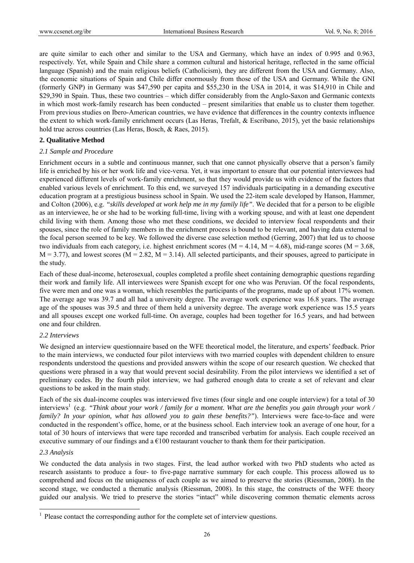are quite similar to each other and similar to the USA and Germany, which have an index of 0.995 and 0.963, respectively. Yet, while Spain and Chile share a common cultural and historical heritage, reflected in the same official language (Spanish) and the main religious beliefs (Catholicism), they are different from the USA and Germany. Also, the economic situations of Spain and Chile differ enormously from those of the USA and Germany. While the GNI (formerly GNP) in Germany was \$47,590 per capita and \$55,230 in the USA in 2014, it was \$14,910 in Chile and \$29,390 in Spain. Thus, these two countries – which differ considerably from the Anglo-Saxon and Germanic contexts in which most work-family research has been conducted – present similarities that enable us to cluster them together. From previous studies on Ibero-American countries, we have evidence that differences in the country contexts influence the extent to which work-family enrichment occurs (Las Heras, Trefalt, & Escribano, 2015), yet the basic relationships hold true across countries (Las Heras, Bosch, & Raes, 2015).

## **2. Qualitative Method**

#### *2.1 Sample and Procedure*

Enrichment occurs in a subtle and continuous manner, such that one cannot physically observe that a person's family life is enriched by his or her work life and vice-versa. Yet, it was important to ensure that our potential interviewees had experienced different levels of work-family enrichment, so that they would provide us with evidence of the factors that enabled various levels of enrichment. To this end, we surveyed 157 individuals participating in a demanding executive education program at a prestigious business school in Spain. We used the 22-item scale developed by Hanson, Hammer, and Colton (2006), e.g. *"skills developed at work help me in my family life"*. We decided that for a person to be eligible as an interviewee, he or she had to be working full-time, living with a working spouse, and with at least one dependent child living with them. Among those who met these conditions, we decided to interview focal respondents and their spouses, since the role of family members in the enrichment process is bound to be relevant, and having data external to the focal person seemed to be key. We followed the diverse case selection method (Gerring, 2007) that led us to choose two individuals from each category, i.e. highest enrichment scores ( $M = 4.14$ ,  $M = 4.68$ ), mid-range scores ( $M = 3.68$ ,  $M = 3.77$ ), and lowest scores ( $M = 2.82$ ,  $M = 3.14$ ). All selected participants, and their spouses, agreed to participate in the study.

Each of these dual-income, heterosexual, couples completed a profile sheet containing demographic questions regarding their work and family life. All interviewees were Spanish except for one who was Peruvian. Of the focal respondents, five were men and one was a woman, which resembles the participants of the programs, made up of about 17% women. The average age was 39.7 and all had a university degree. The average work experience was 16.8 years. The average age of the spouses was 39.5 and three of them held a university degree. The average work experience was 15.5 years and all spouses except one worked full-time. On average, couples had been together for 16.5 years, and had between one and four children.

## *2.2 Interviews*

We designed an interview questionnaire based on the WFE theoretical model, the literature, and experts' feedback. Prior to the main interviews, we conducted four pilot interviews with two married couples with dependent children to ensure respondents understood the questions and provided answers within the scope of our research question. We checked that questions were phrased in a way that would prevent social desirability. From the pilot interviews we identified a set of preliminary codes. By the fourth pilot interview, we had gathered enough data to create a set of relevant and clear questions to be asked in the main study.

Each of the six dual-income couples was interviewed five times (four single and one couple interview) for a total of 30 interviews<sup>1</sup> (e.g. "Think about your work / family for a moment. What are the benefits you gain through your work / *family? In your opinion, what has allowed you to gain these benefits?"*). Interviews were face-to-face and were conducted in the respondent's office, home, or at the business school. Each interview took an average of one hour, for a total of 30 hours of interviews that were tape recorded and transcribed verbatim for analysis. Each couple received an executive summary of our findings and a  $\epsilon$ 100 restaurant voucher to thank them for their participation.

#### *2.3 Analysis*

 $\overline{a}$ 

We conducted the data analysis in two stages. First, the lead author worked with two PhD students who acted as research assistants to produce a four- to five-page narrative summary for each couple. This process allowed us to comprehend and focus on the uniqueness of each couple as we aimed to preserve the stories (Riessman, 2008). In the second stage, we conducted a thematic analysis (Riessman, 2008). In this stage, the constructs of the WFE theory guided our analysis. We tried to preserve the stories "intact" while discovering common thematic elements across

<sup>&</sup>lt;sup>1</sup> Please contact the corresponding author for the complete set of interview questions.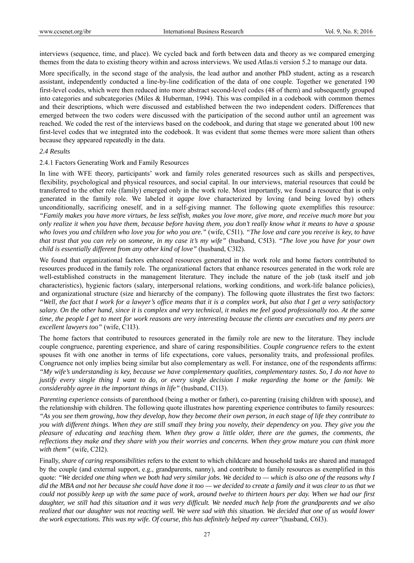interviews (sequence, time, and place). We cycled back and forth between data and theory as we compared emerging themes from the data to existing theory within and across interviews. We used Atlas.ti version 5.2 to manage our data.

More specifically, in the second stage of the analysis, the lead author and another PhD student, acting as a research assistant, independently conducted a line-by-line codification of the data of one couple. Together we generated 190 first-level codes, which were then reduced into more abstract second-level codes (48 of them) and subsequently grouped into categories and subcategories (Miles & Huberman, 1994). This was compiled in a codebook with common themes and their descriptions, which were discussed and established between the two independent coders. Differences that emerged between the two coders were discussed with the participation of the second author until an agreement was reached. We coded the rest of the interviews based on the codebook, and during that stage we generated about 100 new first-level codes that we integrated into the codebook. It was evident that some themes were more salient than others because they appeared repeatedly in the data.

#### *2.4 Results*

#### 2.4.1 Factors Generating Work and Family Resources

In line with WFE theory, participants' work and family roles generated resources such as skills and perspectives, flexibility, psychological and physical resources, and social capital. In our interviews, material resources that could be transferred to the other role (family) emerged only in the work role. Most importantly, we found a resource that is only generated in the family role. We labeled it *agape love* characterized by loving (and being loved by) others unconditionally, sacrificing oneself, and in a self-giving manner. The following quote exemplifies this resource: *"Family makes you have more virtues, be less selfish, makes you love more, give more, and receive much more but you only realize it when you have them, because before having them, you don't really know what it means to have a spouse who loves you and children who love you for who you are."* (wife, C5I1)*. "The love and care you receive is key, to have that trust that you can rely on someone, in my case it's my wife"* (husband, C5I3). *"The love you have for your own child is essentially different from any other kind of love"* (husband, C3I2).

We found that organizational factors enhanced resources generated in the work role and home factors contributed to resources produced in the family role. The organizational factors that enhance resources generated in the work role are well-established constructs in the management literature. They include the nature of the job (task itself and job characteristics), hygienic factors (salary, interpersonal relations, working conditions, and work-life balance policies), and organizational structure (size and hierarchy of the company). The following quote illustrates the first two factors: *"Well, the fact that I work for a lawyer's office means that it is a complex work, but also that I get a very satisfactory salary. On the other hand, since it is complex and very technical, it makes me feel good professionally too. At the same time, the people I get to meet for work reasons are very interesting because the clients are executives and my peers are excellent lawyers too"* (wife, C1I3).

The home factors that contributed to resources generated in the family role are new to the literature. They include couple congruence, parenting experience, and share of caring responsibilities. *Couple congruence* refers to the extent spouses fit with one another in terms of life expectations, core values, personality traits, and professional profiles. Congruence not only implies being similar but also complementary as well. For instance, one of the respondents affirms: *"My wife's understanding is key, because we have complementary qualities, complementary tastes. So, I do not have to justify every single thing I want to do, or every single decision I make regarding the home or the family. We considerably agree in the important things in life"* (husband, C1I3).

*Parenting experience* consists of parenthood (being a mother or father), co-parenting (raising children with spouse), and the relationship with children. The following quote illustrates how parenting experience contributes to family resources: *"As you see them growing, how they develop, how they become their own person, in each stage of life they contribute to you with different things. When they are still small they bring you novelty, their dependency on you. They give you the pleasure of educating and teaching them. When they grow a little older, there are the games, the comments, the reflections they make and they share with you their worries and concerns. When they grow mature you can think more with them"* (wife, C2I2).

Finally, *share of caring responsibilities* refers to the extent to which childcare and household tasks are shared and managed by the couple (and external support, e.g., grandparents, nanny), and contribute to family resources as exemplified in this quote: *"We decided one thing when we both had very similar jobs. We decided to — which is also one of the reasons why I did the MBA and not her because she could have done it too — we decided to create a family and it was clear to us that we could not possibly keep up with the same pace of work, around twelve to thirteen hours per day. When we had our first daughter, we still had this situation and it was very difficult. We needed much help from the grandparents and we also realized that our daughter was not reacting well. We were sad with this situation. We decided that one of us would lower the work expectations. This was my wife. Of course, this has definitely helped my career"*(husband, C6I3).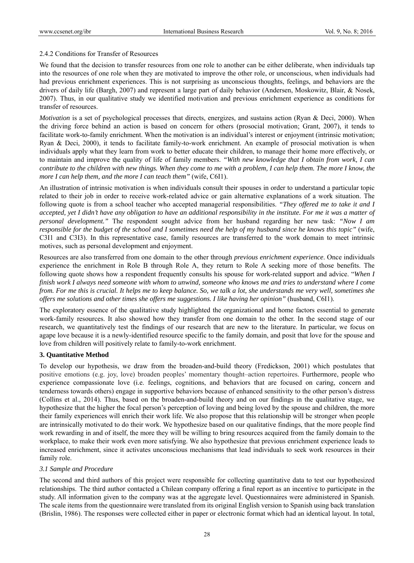## 2.4.2 Conditions for Transfer of Resources

We found that the decision to transfer resources from one role to another can be either deliberate, when individuals tap into the resources of one role when they are motivated to improve the other role, or unconscious, when individuals had had previous enrichment experiences. This is not surprising as unconscious thoughts, feelings, and behaviors are the drivers of daily life (Bargh, 2007) and represent a large part of daily behavior (Andersen, Moskowitz, Blair, & Nosek, 2007). Thus, in our qualitative study we identified motivation and previous enrichment experience as conditions for transfer of resources.

*Motivation* is a set of psychological processes that directs, energizes, and sustains action (Ryan & Deci, 2000). When the driving force behind an action is based on concern for others (prosocial motivation; Grant, 2007), it tends to facilitate work-to-family enrichment. When the motivation is an individual's interest or enjoyment (intrinsic motivation; Ryan & Deci, 2000), it tends to facilitate family-to-work enrichment. An example of prosocial motivation is when individuals apply what they learn from work to better educate their children, to manage their home more effectively, or to maintain and improve the quality of life of family members. *"With new knowledge that I obtain from work, I can contribute to the children with new things. When they come to me with a problem, I can help them. The more I know, the more I can help them, and the more I can teach them"* (wife, C6I1).

An illustration of intrinsic motivation is when individuals consult their spouses in order to understand a particular topic related to their job in order to receive work-related advice or gain alternative explanations of a work situation. The following quote is from a school teacher who accepted managerial responsibilities. *"They offered me to take it and I accepted, yet I didn't have any obligation to have an additional responsibility in the institute. For me it was a matter of personal development."* The respondent sought advice from her husband regarding her new task: *"Now I am responsible for the budget of the school and I sometimes need the help of my husband since he knows this topic"* (wife, C3I1 and C3I3). In this representative case, family resources are transferred to the work domain to meet intrinsic motives, such as personal development and enjoyment.

Resources are also transferred from one domain to the other through *previous enrichment experience*. Once individuals experience the enrichment in Role B through Role A, they return to Role A seeking more of those benefits. The following quote shows how a respondent frequently consults his spouse for work-related support and advice. "*When I finish work I always need someone with whom to unwind, someone who knows me and tries to understand where I come from. For me this is crucial. It helps me to keep balance. So, we talk a lot, she understands me very well, sometimes she offers me solutions and other times she offers me suggestions. I like having her opinion"* (husband, C6I1).

The exploratory essence of the qualitative study highlighted the organizational and home factors essential to generate work-family resources. It also showed how they transfer from one domain to the other. In the second stage of our research, we quantitatively test the findings of our research that are new to the literature. In particular, we focus on agape love because it is a newly-identified resource specific to the family domain, and posit that love for the spouse and love from children will positively relate to family-to-work enrichment.

## **3. Quantitative Method**

To develop our hypothesis, we draw from the broaden-and-build theory (Fredickson, 2001) which postulates that positive emotions (e.g. joy, love) broaden peoples' momentary thought–action repertoires. Furthermore, people who experience compassionate love (i.e. feelings, cognitions, and behaviors that are focused on caring, concern and tenderness towards others) engage in supportive behaviors because of enhanced sensitivity to the other person's distress (Collins et al., 2014). Thus, based on the broaden-and-build theory and on our findings in the qualitative stage, we hypothesize that the higher the focal person's perception of loving and being loved by the spouse and children, the more their family experiences will enrich their work life. We also propose that this relationship will be stronger when people are intrinsically motivated to do their work. We hypothesize based on our qualitative findings, that the more people find work rewarding in and of itself, the more they will be willing to bring resources acquired from the family domain to the workplace, to make their work even more satisfying. We also hypothesize that previous enrichment experience leads to increased enrichment, since it activates unconscious mechanisms that lead individuals to seek work resources in their family role.

## *3.1 Sample and Procedure*

The second and third authors of this project were responsible for collecting quantitative data to test our hypothesized relationships. The third author contacted a Chilean company offering a final report as an incentive to participate in the study. All information given to the company was at the aggregate level. Questionnaires were administered in Spanish. The scale items from the questionnaire were translated from its original English version to Spanish using back translation (Brislin, 1986). The responses were collected either in paper or electronic format which had an identical layout. In total,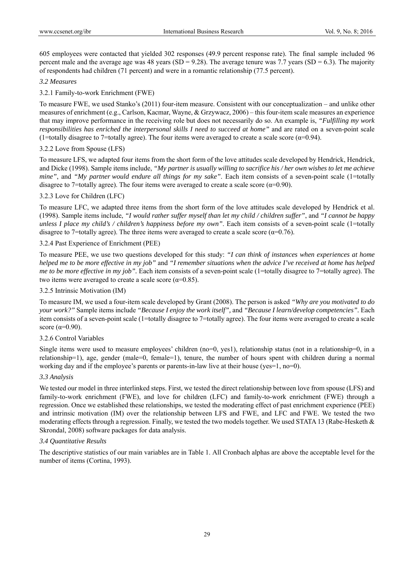605 employees were contacted that yielded 302 responses (49.9 percent response rate). The final sample included 96 percent male and the average age was 48 years (SD = 9.28). The average tenure was 7.7 years (SD = 6.3). The majority of respondents had children (71 percent) and were in a romantic relationship (77.5 percent).

## *3.2 Measures*

## 3.2.1 Family-to-work Enrichment (FWE)

To measure FWE, we used Stanko's (2011) four-item measure. Consistent with our conceptualization – and unlike other measures of enrichment (e.g., Carlson, Kacmar, Wayne, & Grzywacz, 2006) – this four-item scale measures an experience that may improve performance in the receiving role but does not necessarily do so. An example is, *"Fulfilling my work responsibilities has enriched the interpersonal skills I need to succeed at home"* and are rated on a seven-point scale (1=totally disagree to 7=totally agree). The four items were averaged to create a scale score ( $\alpha$ =0.94).

## 3.2.2 Love from Spouse (LFS)

To measure LFS, we adapted four items from the short form of the love attitudes scale developed by Hendrick, Hendrick, and Dicke (1998). Sample items include, *"My partner is usually willing to sacrifice his / her own wishes to let me achieve mine"*, and *"My partner would endure all things for my sake"*. Each item consists of a seven-point scale (1=totally disagree to 7=totally agree). The four items were averaged to create a scale score ( $\alpha$ =0.90).

## 3.2.3 Love for Children (LFC)

To measure LFC, we adapted three items from the short form of the love attitudes scale developed by Hendrick et al. (1998). Sample items include, *"I would rather suffer myself than let my child / children suffer"*, and *"I cannot be happy unless I place my child's / children's happiness before my own"*. Each item consists of a seven-point scale (1=totally disagree to 7=totally agree). The three items were averaged to create a scale score ( $\alpha$ =0.76).

## 3.2.4 Past Experience of Enrichment (PEE)

To measure PEE, we use two questions developed for this study: *"I can think of instances when experiences at home helped me to be more effective in my job"* and *"I remember situations when the advice I've received at home has helped me to be more effective in my job"*. Each item consists of a seven-point scale (1=totally disagree to 7=totally agree). The two items were averaged to create a scale score ( $\alpha$ =0.85).

## 3.2.5 Intrinsic Motivation (IM)

To measure IM, we used a four-item scale developed by Grant (2008). The person is asked *"Why are you motivated to do your work?"* Sample items include *"Because I enjoy the work itself",* and *"Because I learn/develop competencies".* Each item consists of a seven-point scale (1=totally disagree to 7=totally agree). The four items were averaged to create a scale score  $(\alpha=0.90)$ .

## 3.2.6 Control Variables

Single items were used to measure employees' children (no=0, yes1), relationship status (not in a relationship=0, in a relationship=1), age, gender (male=0, female=1), tenure, the number of hours spent with children during a normal working day and if the employee's parents or parents-in-law live at their house (yes=1, no=0).

## *3.3 Analysis*

We tested our model in three interlinked steps. First, we tested the direct relationship between love from spouse (LFS) and family-to-work enrichment (FWE), and love for children (LFC) and family-to-work enrichment (FWE) through a regression. Once we established these relationships, we tested the moderating effect of past enrichment experience (PEE) and intrinsic motivation (IM) over the relationship between LFS and FWE, and LFC and FWE. We tested the two moderating effects through a regression. Finally, we tested the two models together. We used STATA 13 (Rabe-Hesketh & Skrondal, 2008) software packages for data analysis.

## *3.4 Quantitative Results*

The descriptive statistics of our main variables are in Table 1. All Cronbach alphas are above the acceptable level for the number of items (Cortina, 1993).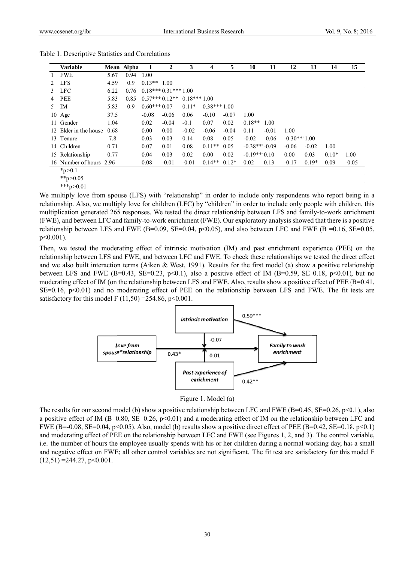|              | <b>Variable</b>         |      | Mean Alpha | 1                           | 2       | 3       | 4                | 5       | 10                | 11      | 12            | 13      | 14      | 15      |
|--------------|-------------------------|------|------------|-----------------------------|---------|---------|------------------|---------|-------------------|---------|---------------|---------|---------|---------|
| $\mathbf{1}$ | <b>FWE</b>              | 5.67 | 0.94       | 1.00                        |         |         |                  |         |                   |         |               |         |         |         |
|              | 2 LFS                   | 4.59 | 0.9        | $0.13**$ 1.00               |         |         |                  |         |                   |         |               |         |         |         |
|              | 3 LFC                   | 6.22 |            | $0.76$ $0.18***0.31***1.00$ |         |         |                  |         |                   |         |               |         |         |         |
|              | 4 PEE                   | 5.83 | 0.85       | $0.57***0.12**0.18***1.00$  |         |         |                  |         |                   |         |               |         |         |         |
|              | 5 IM                    | 5.83 | 0.9        | $0.60***0.07$               |         | $0.11*$ | $0.38***1.00$    |         |                   |         |               |         |         |         |
|              | $10 \text{ Age}$        | 37.5 |            | $-0.08$                     | $-0.06$ | 0.06    | $-0.10$          | $-0.07$ | 1.00              |         |               |         |         |         |
|              | 11 Gender               | 1.04 |            | 0.02                        | $-0.04$ | $-0.1$  | 0.07             | 0.02    | $0.18**$          | 1.00    |               |         |         |         |
|              | 12 Elder in the house   | 0.68 |            | 0.00                        | 0.00    | $-0.02$ | $-0.06$          | $-0.04$ | 0.11              | $-0.01$ | 1.00          |         |         |         |
|              | 13 Tenure               | 7.8  |            | 0.03                        | 0.03    | 0.14    | 0.08             | 0.05    | $-0.02$           | $-0.06$ | $-0.30**1.00$ |         |         |         |
|              | 14 Children             | 0.71 |            | 0.07                        | 0.01    | 0.08    | $0.11**$         | 0.05    | $-0.38**$ $-0.09$ |         | $-0.06$       | $-0.02$ | 1.00    |         |
|              | 15 Relationship         | 0.77 |            | 0.04                        | 0.03    | 0.02    | 0.00             | 0.02    | $-0.19**0.10$     |         | 0.00          | 0.03    | $0.10*$ | 1.00    |
|              | 16 Number of hours 2.96 |      |            | 0.08                        | $-0.01$ | $-0.01$ | $0.14**$ $0.12*$ |         | 0.02              | 0.13    | $-0.17$       | $0.19*$ | 0.09    | $-0.05$ |
|              | $*_{n}$ \ 0 1           |      |            |                             |         |         |                  |         |                   |         |               |         |         |         |

Table 1. Descriptive Statistics and Correlations

`p>0.1

\*\*p>0.05

\*\*\*p>0.01

We multiply love from spouse (LFS) with "relationship" in order to include only respondents who report being in a relationship. Also, we multiply love for children (LFC) by "children" in order to include only people with children, this multiplication generated 265 responses. We tested the direct relationship between LFS and family-to-work enrichment (FWE), and between LFC and family-to-work enrichment (FWE). Our exploratory analysis showed that there is a positive relationship between LFS and FWE (B=0.09, SE=0.04, p<0.05), and also between LFC and FWE (B=0.16, SE=0.05,  $p<0.001$ ).

Then, we tested the moderating effect of intrinsic motivation (IM) and past enrichment experience (PEE) on the relationship between LFS and FWE, and between LFC and FWE. To check these relationships we tested the direct effect and we also built interaction terms (Aiken & West, 1991). Results for the first model (a) show a positive relationship between LFS and FWE (B=0.43, SE=0.23, p<0.1), also a positive effect of IM (B=0.59, SE 0.18, p<0.01), but no moderating effect of IM (on the relationship between LFS and FWE. Also, results show a positive effect of PEE (B=0.41, SE=0.16,  $p<0.01$ ) and no moderating effect of PEE on the relationship between LFS and FWE. The fit tests are satisfactory for this model F  $(11.50) = 254.86$ , p<0.001.



Figure 1. Model (a)

The results for our second model (b) show a positive relationship between LFC and FWE (B=0.45, SE=0.26, p<0.1), also a positive effect of IM (B=0.80, SE=0.26, p<0.01) and a moderating effect of IM on the relationship between LFC and FWE (B=-0.08, SE=0.04, p<0.05). Also, model (b) results show a positive direct effect of PEE (B=0.42, SE=0.18, p<0.1) and moderating effect of PEE on the relationship between LFC and FWE (see Figures 1, 2, and 3). The control variable, i.e. the number of hours the employee usually spends with his or her children during a normal working day, has a small and negative effect on FWE; all other control variables are not significant. The fit test are satisfactory for this model F  $(12,51) = 244.27$ , p < 0.001.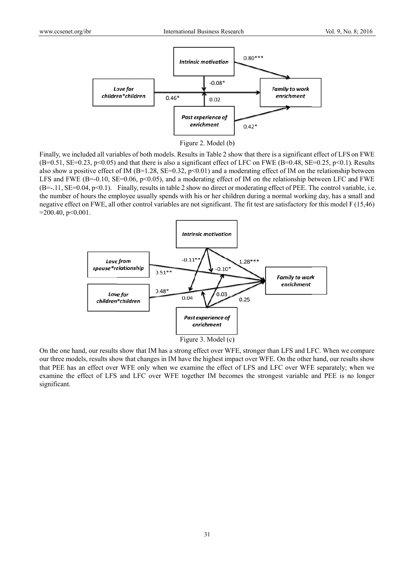

Figure 2. Model (b)

Finally, we included all variables of both models. Results in Table 2 show that there is a significant effect of LFS on FWE  $(B=0.51, SE=0.23, p<0.05)$  and that there is also a significant effect of LFC on FWE  $(B=0.48, SE=0.25, p<0.1)$ . Results also show a positive effect of IM (B=1.28, SE=0.32, p<0.01) and a moderating effect of IM on the relationship between LFS and FWE (B=-0.10, SE=0.06, p<0.05), and a moderating effect of IM on the relationship between LFC and FWE (B=-.11, SE=0.04, p<0.1). Finally, results in table 2 show no direct or moderating effect of PEE. The control variable, i.e. the number of hours the employee usually spends with his or her children during a normal working day, has a small and negative effect on FWE, all other control variables are not significant. The fit test are satisfactory for this model F (15.46)  $=200.40, p<0.001$ .



On the one hand, our results show that IM has a strong effect over WFE, stronger than LFS and LFC. When we compare our three models, results show that changes in IM have the highest impact over WFE. On the other hand, our results show that PEE has an effect over WFE only when we examine the effect of LFS and LFC over WFE separately; when we examine the effect of LFS and LFC over WFE together IM becomes the strongest variable and PEE is no longer significant.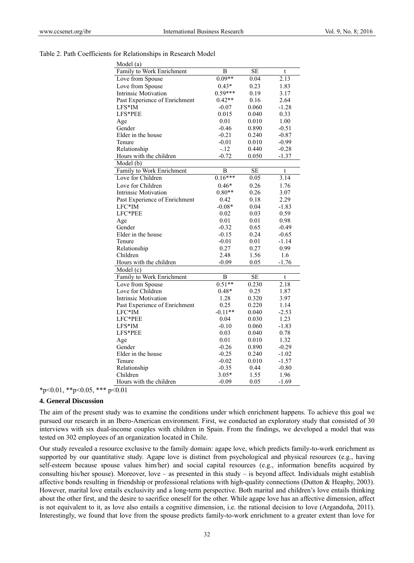#### Table 2. Path Coefficients for Relationships in Research Model

| Model (a)                     |              |                        |         |
|-------------------------------|--------------|------------------------|---------|
| Family to Work Enrichment     | B            | $\overline{\text{SE}}$ | t       |
| Love from Spouse              | $0.09**$     | 0.04                   | 2.13    |
| Love from Spouse              | $0.43*$      | 0.23                   | 1.83    |
| <b>Intrinsic Motivation</b>   | $0.59***$    | 0.19                   | 3.17    |
| Past Experience of Enrichment | $0.42**$     | 0.16                   | 2.64    |
| LFS*IM                        | $-0.07$      | 0.060                  | $-1.28$ |
| LFS*PEE                       | 0.015        | 0.040                  | 0.33    |
| Age                           | 0.01         | 0.010                  | 1.00    |
| Gender                        | $-0.46$      | 0.890                  | $-0.51$ |
| Elder in the house            | $-0.21$      | 0.240                  | $-0.87$ |
| Tenure                        | $-0.01$      | 0.010                  | $-0.99$ |
| Relationship                  | $-.12$       | 0.440                  | $-0.28$ |
| Hours with the children       | $-0.72$      | 0.050                  | $-1.37$ |
| Model (b)                     |              |                        |         |
| Family to Work Enrichment     | B            | SE                     | t       |
| Love for Children             | $0.16***$    | 0.05                   | 3.14    |
| Love for Children             | $0.46*$      | 0.26                   | 1.76    |
| <b>Intrinsic Motivation</b>   | $0.80**$     | 0.26                   | 3.07    |
| Past Experience of Enrichment | 0.42         | 0.18                   | 2.29    |
| LFC*IM                        | $-0.08*$     | 0.04                   | $-1.83$ |
| LFC*PEE                       | 0.02         | 0.03                   | 0.59    |
| Age                           | 0.01         | 0.01                   | 0.98    |
| Gender                        | $-0.32$      | 0.65                   | $-0.49$ |
| Elder in the house            | $-0.15$      | 0.24                   | $-0.65$ |
| Tenure                        | $-0.01$      | 0.01                   | $-1.14$ |
| Relationship                  | 0.27         | 0.27                   | 0.99    |
| Children                      | 2.48         | 1.56                   | 1.6     |
| Hours with the children       | $-0.09$      | 0.05                   | $-1.76$ |
| Model (c)                     |              |                        |         |
| Family to Work Enrichment     | $\, {\bf B}$ | <b>SE</b>              | t       |
| Love from Spouse              | $0.51**$     | 0.230                  | 2.18    |
| Love for Children             | $0.48*$      | 0.25                   | 1.87    |
| Intrinsic Motivation          | 1.28         | 0.320                  | 3.97    |
| Past Experience of Enrichment | 0.25         | 0.220                  | 1.14    |
| LFC*IM                        | $-0.11**$    | 0.040                  | $-2.53$ |
| LFC*PEE                       | 0.04         | 0.030                  | 1.23    |
| LFS*IM                        | $-0.10$      | 0.060                  | $-1.83$ |
| LFS*PEE                       | 0.03         | 0.040                  | 0.78    |
| Age                           | 0.01         | 0.010                  | 1.32    |
| Gender                        | $-0.26$      | 0.890                  | $-0.29$ |
| Elder in the house            | $-0.25$      | 0.240                  | $-1.02$ |
| Tenure                        | $-0.02$      | 0.010                  | $-1.57$ |
| Relationship                  | $-0.35$      | 0.44                   | $-0.80$ |
| Children                      | $3.05*$      | 1.55                   | 1.96    |
| Hours with the children       | $-0.09$      | 0.05                   | $-1.69$ |
|                               |              |                        |         |

 $*_{p<0.01}$ ,  $*_{p<0.05}$ ,  $*_{p<0.01}$ 

#### **4. General Discussion**

The aim of the present study was to examine the conditions under which enrichment happens. To achieve this goal we pursued our research in an Ibero-American environment. First, we conducted an exploratory study that consisted of 30 interviews with six dual-income couples with children in Spain. From the findings, we developed a model that was tested on 302 employees of an organization located in Chile.

Our study revealed a resource exclusive to the family domain: agape love, which predicts family-to-work enrichment as supported by our quantitative study. Agape love is distinct from psychological and physical resources (e.g., having self-esteem because spouse values him/her) and social capital resources (e.g., information benefits acquired by consulting his/her spouse). Moreover, love – as presented in this study – is beyond affect. Individuals might establish affective bonds resulting in friendship or professional relations with high-quality connections (Dutton & Heaphy, 2003). However, marital love entails exclusivity and a long-term perspective. Both marital and children's love entails thinking about the other first, and the desire to sacrifice oneself for the other. While agape love has an affective dimension, affect is not equivalent to it, as love also entails a cognitive dimension, i.e. the rational decision to love (Argandoña, 2011). Interestingly, we found that love from the spouse predicts family-to-work enrichment to a greater extent than love for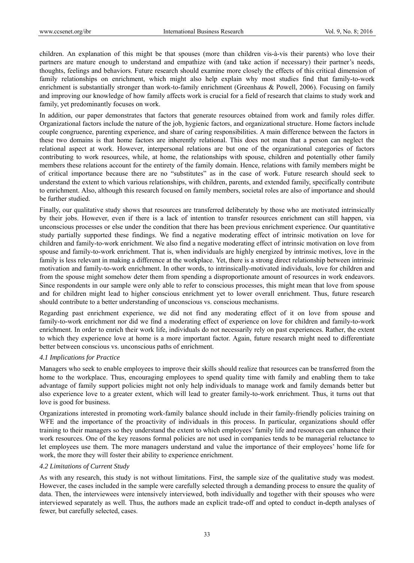children. An explanation of this might be that spouses (more than children vis-à-vis their parents) who love their partners are mature enough to understand and empathize with (and take action if necessary) their partner's needs, thoughts, feelings and behaviors. Future research should examine more closely the effects of this critical dimension of family relationships on enrichment, which might also help explain why most studies find that family-to-work enrichment is substantially stronger than work-to-family enrichment (Greenhaus & Powell, 2006). Focusing on family and improving our knowledge of how family affects work is crucial for a field of research that claims to study work and family, yet predominantly focuses on work.

In addition, our paper demonstrates that factors that generate resources obtained from work and family roles differ. Organizational factors include the nature of the job, hygienic factors, and organizational structure. Home factors include couple congruence, parenting experience, and share of caring responsibilities. A main difference between the factors in these two domains is that home factors are inherently relational. This does not mean that a person can neglect the relational aspect at work. However, interpersonal relations are but one of the organizational categories of factors contributing to work resources, while, at home, the relationships with spouse, children and potentially other family members these relations account for the entirety of the family domain. Hence, relations with family members might be of critical importance because there are no "substitutes" as in the case of work. Future research should seek to understand the extent to which various relationships, with children, parents, and extended family, specifically contribute to enrichment. Also, although this research focused on family members, societal roles are also of importance and should be further studied.

Finally, our qualitative study shows that resources are transferred deliberately by those who are motivated intrinsically by their jobs. However, even if there is a lack of intention to transfer resources enrichment can still happen, via unconscious processes or else under the condition that there has been previous enrichment experience. Our quantitative study partially supported these findings. We find a negative moderating effect of intrinsic motivation on love for children and family-to-work enrichment. We also find a negative moderating effect of intrinsic motivation on love from spouse and family-to-work enrichment. That is, when individuals are highly energized by intrinsic motives, love in the family is less relevant in making a difference at the workplace. Yet, there is a strong direct relationship between intrinsic motivation and family-to-work enrichment. In other words, to intrinsically-motivated individuals, love for children and from the spouse might somehow deter them from spending a disproportionate amount of resources in work endeavors. Since respondents in our sample were only able to refer to conscious processes, this might mean that love from spouse and for children might lead to higher conscious enrichment yet to lower overall enrichment. Thus, future research should contribute to a better understanding of unconscious vs. conscious mechanisms.

Regarding past enrichment experience, we did not find any moderating effect of it on love from spouse and family-to-work enrichment nor did we find a moderating effect of experience on love for children and family-to-work enrichment. In order to enrich their work life, individuals do not necessarily rely on past experiences. Rather, the extent to which they experience love at home is a more important factor. Again, future research might need to differentiate better between conscious vs. unconscious paths of enrichment.

## *4.1 Implications for Practice*

Managers who seek to enable employees to improve their skills should realize that resources can be transferred from the home to the workplace. Thus, encouraging employees to spend quality time with family and enabling them to take advantage of family support policies might not only help individuals to manage work and family demands better but also experience love to a greater extent, which will lead to greater family-to-work enrichment. Thus, it turns out that love is good for business.

Organizations interested in promoting work-family balance should include in their family-friendly policies training on WFE and the importance of the proactivity of individuals in this process. In particular, organizations should offer training to their managers so they understand the extent to which employees' family life and resources can enhance their work resources. One of the key reasons formal policies are not used in companies tends to be managerial reluctance to let employees use them. The more managers understand and value the importance of their employees' home life for work, the more they will foster their ability to experience enrichment.

## *4.2 Limitations of Current Study*

As with any research, this study is not without limitations. First, the sample size of the qualitative study was modest. However, the cases included in the sample were carefully selected through a demanding process to ensure the quality of data. Then, the interviewees were intensively interviewed, both individually and together with their spouses who were interviewed separately as well. Thus, the authors made an explicit trade-off and opted to conduct in-depth analyses of fewer, but carefully selected, cases.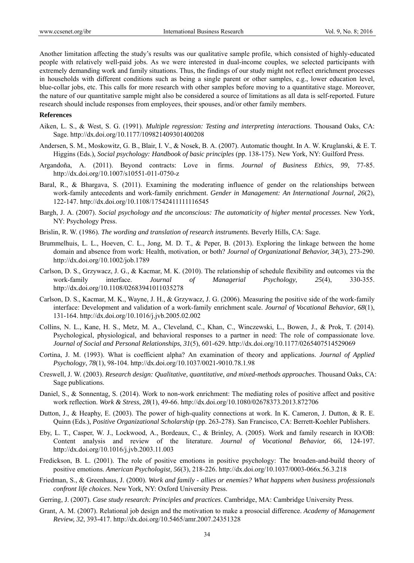Another limitation affecting the study's results was our qualitative sample profile, which consisted of highly-educated people with relatively well-paid jobs. As we were interested in dual-income couples, we selected participants with extremely demanding work and family situations. Thus, the findings of our study might not reflect enrichment processes in households with different conditions such as being a single parent or other samples, e.g., lower education level, blue-collar jobs, etc. This calls for more research with other samples before moving to a quantitative stage. Moreover, the nature of our quantitative sample might also be considered a source of limitations as all data is self-reported. Future research should include responses from employees, their spouses, and/or other family members.

#### **References**

- Aiken, L. S., & West, S. G. (1991). *Multiple regression: Testing and interpreting interactions*. Thousand Oaks, CA: Sage. http://dx.doi.org/10.1177/109821409301400208
- Andersen, S. M., Moskowitz, G. B., Blair, I. V., & Nosek, B. A. (2007). Automatic thought. In A. W. Kruglanski, & E. T. Higgins (Eds.)*, Social psychology: Handbook of basic principles* (pp. 138-175). New York, NY: Guilford Press.
- Argandoña, A. (2011). Beyond contracts: Love in firms. *Journal of Business Ethics*, *99*, 77-85. http://dx.doi.org/10.1007/s10551-011-0750-z
- Baral, R., & Bhargava, S. (2011). Examining the moderating influence of gender on the relationships between work-family antecedents and work-family enrichment. *Gender in Management: An International Journal, 26*(2), 122-147. http://dx.doi.org/10.1108/17542411111116545
- Bargh, J. A. (2007). *Social psychology and the unconscious: The automaticity of higher mental processes*. New York, NY: Psychology Press.
- Brislin, R. W. (1986). *The wording and translation of research instruments*. Beverly Hills, CA: Sage.
- Brummelhuis, L. L., Hoeven, C. L., Jong, M. D. T., & Peper, B. (2013). Exploring the linkage between the home domain and absence from work: Health, motivation, or both? *Journal of Organizational Behavior, 34*(3), 273-290. http://dx.doi.org/10.1002/job.1789
- Carlson, D. S., Grzywacz, J. G., & Kacmar, M. K. (2010). The relationship of schedule flexibility and outcomes via the work-family interface. *Journal of Managerial Psychology*, *25*(4), 330-355. http://dx.doi.org/10.1108/02683941011035278
- Carlson, D. S., Kacmar, M. K., Wayne, J. H., & Grzywacz, J. G. (2006). Measuring the positive side of the work-family interface: Development and validation of a work-family enrichment scale. *Journal of Vocational Behavior*, *68*(1), 131-164. http://dx.doi.org/10.1016/j.jvb.2005.02.002
- Collins, N. L., Kane, H. S., Metz, M. A., Cleveland, C., Khan, C., Winczewski, L., Bowen, J., & Prok, T. (2014). Psychological, physiological, and behavioral responses to a partner in need: The role of compassionate love. *Journal of Social and Personal Relationships*, *31*(5), 601-629. http://dx.doi.org/10.1177/0265407514529069
- Cortina, J. M. (1993). What is coefficient alpha? An examination of theory and applications. *Journal of Applied Psychology*, *78*(1), 98-104. http://dx.doi.org/10.1037/0021-9010.78.1.98
- Creswell, J. W. (2003). *Research design: Qualitative, quantitative, and mixed-methods approaches*. Thousand Oaks, CA: Sage publications.
- Daniel, S., & Sonnentag, S. (2014). Work to non-work enrichment: The mediating roles of positive affect and positive work reflection. *Work & Stress*, *28*(1), 49-66. http://dx.doi.org/10.1080/02678373.2013.872706
- Dutton, J., & Heaphy, E. (2003). The power of high-quality connections at work. In K. Cameron, J. Dutton, & R. E. Quinn (Eds.), *Positive Organizational Scholarship* (pp. 263-278). San Francisco, CA: Berrett-Koehler Publishers.
- Eby, L. T., Casper, W. J., Lockwood, A., Bordeaux, C., & Brinley, A. (2005). Work and family research in IO/OB: Content analysis and review of the literature. *Journal of Vocational Behavior, 66*, 124-197. http://dx.doi.org/10.1016/j.jvb.2003.11.003
- Fredickson, B. L. (2001). The role of positive emotions in positive psychology: The broaden-and-build theory of positive emotions. *American Psychologist, 56*(3), 218-226. http://dx.doi.org/10.1037/0003-066x.56.3.218
- Friedman, S., & Greenhaus, J. (2000). *Work and family allies or enemies? What happens when business professionals confront life choices*. New York, NY: Oxford University Press.
- Gerring, J. (2007). *Case study research: Principles and practices*. Cambridge, MA: Cambridge University Press.
- Grant, A. M. (2007). Relational job design and the motivation to make a prosocial difference. *Academy of Management Review, 32*, 393-417. http://dx.doi.org/10.5465/amr.2007.24351328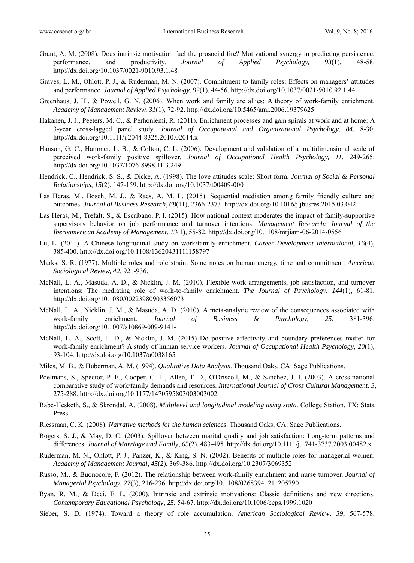- Grant, A. M. (2008). Does intrinsic motivation fuel the prosocial fire? Motivational synergy in predicting persistence, performance, and productivity. *Journal of Applied Psychology, 93*(1), 48-58. http://dx.doi.org/10.1037/0021-9010.93.1.48
- Graves, L. M., Ohlott, P. J., & Ruderman, M. N. (2007). Commitment to family roles: Effects on managers' attitudes and performance. *Journal of Applied Psychology, 92*(1), 44-56. http://dx.doi.org/10.1037/0021-9010.92.1.44
- Greenhaus, J. H., & Powell, G. N. (2006). When work and family are allies: A theory of work-family enrichment. *Academy of Management Review, 31*(1), 72-92. http://dx.doi.org/10.5465/amr.2006.19379625
- Hakanen, J. J., Peeters, M. C., & Perhoniemi, R. (2011). Enrichment processes and gain spirals at work and at home: A 3-year cross-lagged panel study. *Journal of Occupational and Organizational Psychology, 84*, 8-30. http://dx.doi.org/10.1111/j.2044-8325.2010.02014.x
- Hanson, G. C., Hammer, L. B., & Colton, C. L. (2006). Development and validation of a multidimensional scale of perceived work-family positive spillover. *Journal of Occupational Health Psychology, 11*, 249-265. http://dx.doi.org/10.1037/1076-8998.11.3.249
- Hendrick, C., Hendrick, S. S., & Dicke, A. (1998). The love attitudes scale: Short form. *Journal of Social & Personal Relationships*, *15*(2), 147-159. http://dx.doi.org/10.1037/t00409-000
- Las Heras, M., Bosch, M. J., & Raes, A. M. L. (2015). Sequential mediation among family friendly culture and outcomes. *Journal of Business Research*, *68*(11), 2366-2373. http://dx.doi.org/10.1016/j.jbusres.2015.03.042
- Las Heras, M., Trefalt, S., & Escribano, P. I. (2015). How national context moderates the impact of family-supportive supervisory behavior on job performance and turnover intentions. *Management Research: Journal of the Iberoamerican Academy of Management*, *13*(1), 55-82. http://dx.doi.org/10.1108/mrjiam-06-2014-0556
- Lu, L. (2011). A Chinese longitudinal study on work/family enrichment. *Career Development International*, *16*(4), 385-400. http://dx.doi.org/10.1108/13620431111158797
- Marks, S. R. (1977). Multiple roles and role strain: Some notes on human energy, time and commitment. *American Sociological Review, 42*, 921-936.
- McNall, L. A., Masuda, A. D., & Nicklin, J. M. (2010). Flexible work arrangements, job satisfaction, and turnover intentions: The mediating role of work-to-family enrichment. *The Journal of Psychology*, *144*(1), 61-81. http://dx.doi.org/10.1080/00223980903356073
- McNall, L. A., Nicklin, J. M., & Masuda, A. D. (2010). A meta-analytic review of the consequences associated with work-family enrichment. *Journal of Business & Psychology, 25*, 381-396. http://dx.doi.org/10.1007/s10869-009-9141-1
- McNall, L. A., Scott, L. D., & Nicklin, J. M. (2015) Do positive affectivity and boundary preferences matter for work-family enrichment? A study of human service workers. *Journal of Occupational Health Psychology*, *20*(1), 93-104. http://dx.doi.org/10.1037/a0038165
- Miles, M. B., & Huberman, A. M. (1994). *Qualitative Data Analysis*. Thousand Oaks, CA: Sage Publications.
- Poelmans, S., Spector, P. E., Cooper, C. L., Allen, T. D., O'Driscoll, M., & Sanchez, J. I. (2003). A cross-national comparative study of work/family demands and resources. *International Journal of Cross Cultural Management, 3*, 275-288. http://dx.doi.org/10.1177/1470595803003003002
- Rabe-Hesketh, S., & Skrondal, A. (2008). *Multilevel and longitudinal modeling using stata*. College Station, TX: Stata Press.
- Riessman, C. K. (2008). *Narrative methods for the human sciences*. Thousand Oaks, CA: Sage Publications.
- Rogers, S. J., & May, D. C. (2003). Spillover between marital quality and job satisfaction: Long-term patterns and differences. *Journal of Marriage and Family*, *65*(2), 483-495. http://dx.doi.org/10.1111/j.1741-3737.2003.00482.x
- Ruderman, M. N., Ohlott, P. J., Panzer, K., & King, S. N. (2002). Benefits of multiple roles for managerial women. *Academy of Management Journal*, *45*(2), 369-386. http://dx.doi.org/10.2307/3069352
- Russo, M., & Buonocore, F. (2012). The relationship between work-family enrichment and nurse turnover. *Journal of Managerial Psychology*, *27*(3), 216-236. http://dx.doi.org/10.1108/02683941211205790
- Ryan, R. M., & Deci, E. L. (2000). Intrinsic and extrinsic motivations: Classic definitions and new directions. *Contemporary Educational Psychology*, *25*, 54-67. http://dx.doi.org/10.1006/ceps.1999.1020
- Sieber, S. D. (1974). Toward a theory of role accumulation. *American Sociological Review*, *39*, 567-578.